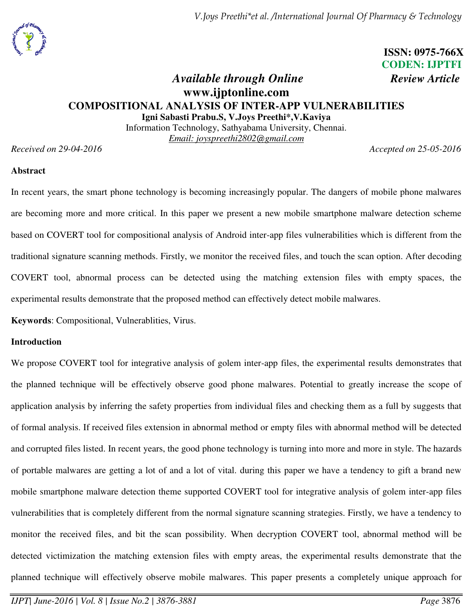

# **ISSN: 0975-766X CODEN: IJPTFI**

## *Available through Online Review Article* **www.ijptonline.com COMPOSITIONAL ANALYSIS OF INTER-APP VULNERABILITIES Igni Sabasti Prabu.S, V.Joys Preethi\*,V.Kaviya**

Information Technology, Sathyabama University, Chennai. *Email: joyspreethi2802@gmail.com* 

*Received on 29-04-2016 Accepted on 25-05-2016* 

## **Abstract**

In recent years, the smart phone technology is becoming increasingly popular. The dangers of mobile phone malwares are becoming more and more critical. In this paper we present a new mobile smartphone malware detection scheme based on COVERT tool for compositional analysis of Android inter-app files vulnerabilities which is different from the traditional signature scanning methods. Firstly, we monitor the received files, and touch the scan option. After decoding COVERT tool, abnormal process can be detected using the matching extension files with empty spaces, the experimental results demonstrate that the proposed method can effectively detect mobile malwares.

**Keywords**: Compositional, Vulnerablities, Virus.

## **Introduction**

We propose COVERT tool for integrative analysis of golem inter-app files, the experimental results demonstrates that the planned technique will be effectively observe good phone malwares. Potential to greatly increase the scope of application analysis by inferring the safety properties from individual files and checking them as a full by suggests that of formal analysis. If received files extension in abnormal method or empty files with abnormal method will be detected and corrupted files listed. In recent years, the good phone technology is turning into more and more in style. The hazards of portable malwares are getting a lot of and a lot of vital. during this paper we have a tendency to gift a brand new mobile smartphone malware detection theme supported COVERT tool for integrative analysis of golem inter-app files vulnerabilities that is completely different from the normal signature scanning strategies. Firstly, we have a tendency to monitor the received files, and bit the scan possibility. When decryption COVERT tool, abnormal method will be detected victimization the matching extension files with empty areas, the experimental results demonstrate that the planned technique will effectively observe mobile malwares. This paper presents a completely unique approach for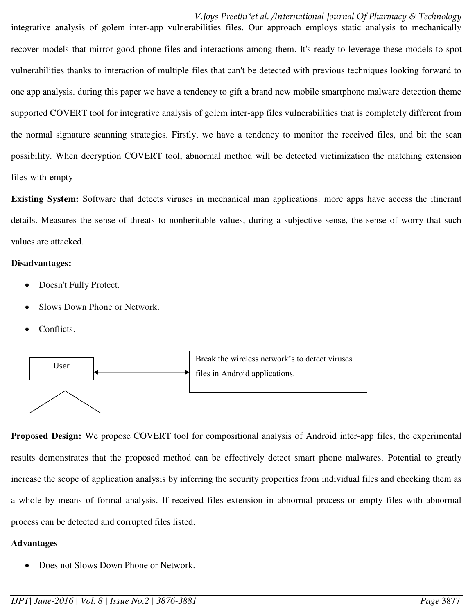*V.Joys Preethi\*et al. /International Journal Of Pharmacy & Technology* 

integrative analysis of golem inter-app vulnerabilities files. Our approach employs static analysis to mechanically recover models that mirror good phone files and interactions among them. It's ready to leverage these models to spot vulnerabilities thanks to interaction of multiple files that can't be detected with previous techniques looking forward to one app analysis. during this paper we have a tendency to gift a brand new mobile smartphone malware detection theme supported COVERT tool for integrative analysis of golem inter-app files vulnerabilities that is completely different from the normal signature scanning strategies. Firstly, we have a tendency to monitor the received files, and bit the scan possibility. When decryption COVERT tool, abnormal method will be detected victimization the matching extension files-with-empty

**Existing System:** Software that detects viruses in mechanical man applications. more apps have access the itinerant details. Measures the sense of threats to nonheritable values, during a subjective sense, the sense of worry that such values are attacked.

## **Disadvantages:**

- Doesn't Fully Protect.
- Slows Down Phone or Network.
- Conflicts.



**Proposed Design:** We propose COVERT tool for compositional analysis of Android inter-app files, the experimental results demonstrates that the proposed method can be effectively detect smart phone malwares. Potential to greatly increase the scope of application analysis by inferring the security properties from individual files and checking them as a whole by means of formal analysis. If received files extension in abnormal process or empty files with abnormal process can be detected and corrupted files listed.

## **Advantages**

Does not Slows Down Phone or Network.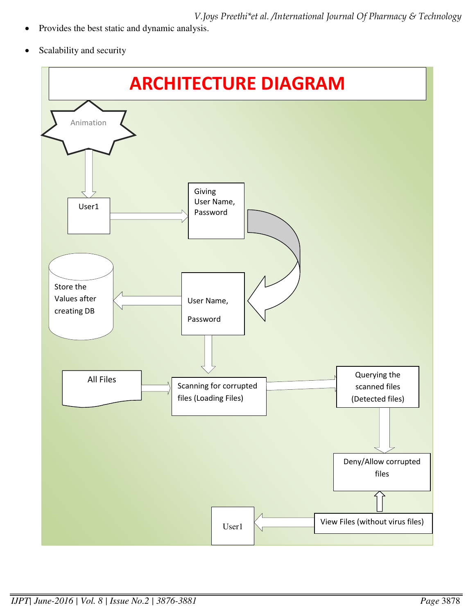*V.Joys Preethi\*et al. /International Journal Of Pharmacy & Technology* 

- Provides the best static and dynamic analysis.
- Scalability and security

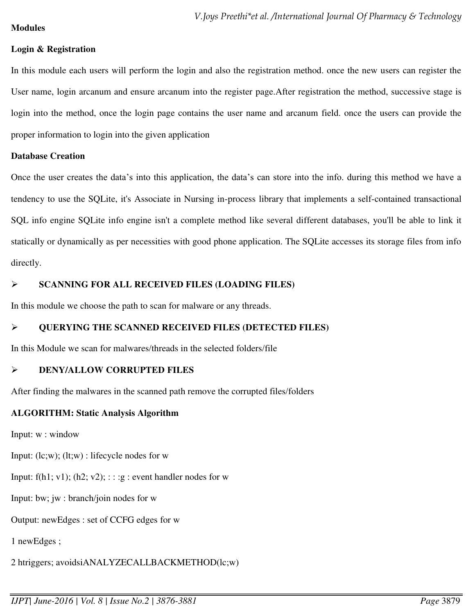## **Modules**

## **Login & Registration**

In this module each users will perform the login and also the registration method. once the new users can register the User name, login arcanum and ensure arcanum into the register page.After registration the method, successive stage is login into the method, once the login page contains the user name and arcanum field. once the users can provide the proper information to login into the given application

## **Database Creation**

Once the user creates the data's into this application, the data's can store into the info. during this method we have a tendency to use the SQLite, it's Associate in Nursing in-process library that implements a self-contained transactional SQL info engine SQLite info engine isn't a complete method like several different databases, you'll be able to link it statically or dynamically as per necessities with good phone application. The SQLite accesses its storage files from info directly.

## **SCANNING FOR ALL RECEIVED FILES (LOADING FILES)**

In this module we choose the path to scan for malware or any threads.

## **QUERYING THE SCANNED RECEIVED FILES (DETECTED FILES)**

In this Module we scan for malwares/threads in the selected folders/file

## **DENY/ALLOW CORRUPTED FILES**

After finding the malwares in the scanned path remove the corrupted files/folders

## **ALGORITHM: Static Analysis Algorithm**

Input: w : window

Input: (lc;w); (lt;w) : lifecycle nodes for w

Input:  $f(h1; v1)$ ;  $(h2; v2)$ ; : : :g : event handler nodes for w

Input: bw; jw : branch/join nodes for w

Output: newEdges : set of CCFG edges for w

1 newEdges ;

2 htriggers; avoidsiANALYZECALLBACKMETHOD(lc;w)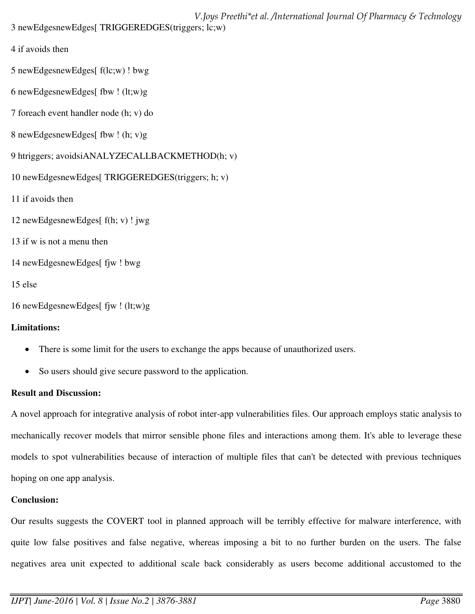*V.Joys Preethi\*et al. /International Journal Of Pharmacy & Technology*  3 newEdgesnewEdges[ TRIGGEREDGES(triggers; lc;w)

- 4 if avoids then
- 5 newEdgesnewEdges[ f(lc;w) ! bwg
- 6 newEdgesnewEdges[ fbw  $!$  (lt;w)g
- 7 foreach event handler node (h; v) do
- 8 newEdgesnewEdges[ fbw ! (h; v)g
- 9 htriggers; avoidsiANALYZECALLBACKMETHOD(h; v)
- 10 newEdgesnewEdges[ TRIGGEREDGES(triggers; h; v)
- 11 if avoids then
- 12 newEdgesnewEdges[ f(h; v) ! jwg
- 13 if w is not a menu then
- 14 newEdgesnewEdges[ fjw ! bwg
- 15 else
- 16 newEdgesnewEdges[ fjw ! (lt;w)g

## **Limitations:**

- There is some limit for the users to exchange the apps because of unauthorized users.
- So users should give secure password to the application.

## **Result and Discussion:**

A novel approach for integrative analysis of robot inter-app vulnerabilities files. Our approach employs static analysis to mechanically recover models that mirror sensible phone files and interactions among them. It's able to leverage these models to spot vulnerabilities because of interaction of multiple files that can't be detected with previous techniques hoping on one app analysis.

## **Conclusion:**

Our results suggests the COVERT tool in planned approach will be terribly effective for malware interference, with quite low false positives and false negative, whereas imposing a bit to no further burden on the users. The false negatives area unit expected to additional scale back considerably as users become additional accustomed to the